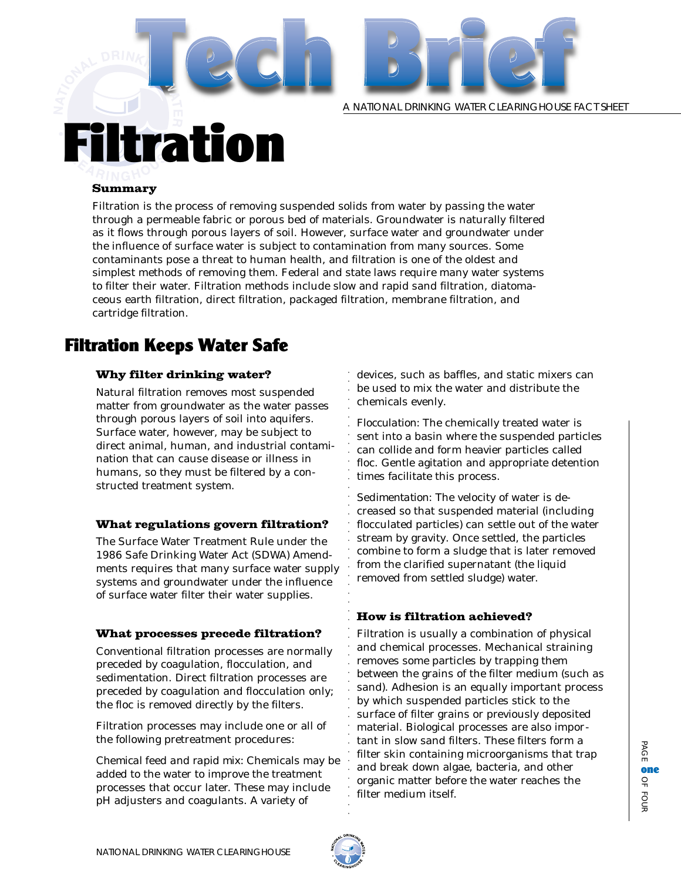A NATIONAL DRINKING WATER CLEARINGHOUSE FACT SHEET

# **Itration**

#### Summary

Filtration is the process of removing suspended solids from water by passing the water through a permeable fabric or porous bed of materials. Groundwater is naturally filtered as it flows through porous layers of soil. However, surface water and groundwater under the influence of surface water is subject to contamination from many sources. Some contaminants pose a threat to human health, and filtration is one of the oldest and simplest methods of removing them. Federal and state laws require many water systems to filter their water. Filtration methods include slow and rapid sand filtration, diatomaceous earth filtration, direct filtration, packaged filtration, membrane filtration, and cartridge filtration.

.<br>.<br>.

aaaaaaaaaaaaaaaaaaaaaaaaaaaaaaaaaaaaaaaaaaaaaaa

# Filtration Keeps Water Safe

#### Why filter drinking water?

Natural filtration removes most suspended matter from groundwater as the water passes through porous layers of soil into aquifers. Surface water, however, may be subject to direct animal, human, and industrial contamination that can cause disease or illness in humans, so they must be filtered by a constructed treatment system.

#### What regulations govern filtration?

The Surface Water Treatment Rule under the 1986 Safe Drinking Water Act (SDWA) Amendments requires that many surface water supply systems and groundwater under the influence of surface water filter their water supplies.

#### What processes precede filtration?

Conventional filtration processes are normally preceded by coagulation, flocculation, and sedimentation. Direct filtration processes are preceded by coagulation and flocculation only; the floc is removed directly by the filters.

Filtration processes may include one or all of the following pretreatment procedures:

*Chemical feed and rapid mix:* Chemicals may be added to the water to improve the treatment processes that occur later. These may include pH adjusters and coagulants. A variety of

devices, such as baffles, and static mixers can be used to mix the water and distribute the chemicals evenly.

*Flocculation:* The chemically treated water is sent into a basin where the suspended particles can collide and form heavier particles called floc. Gentle agitation and appropriate detention times facilitate this process.

*Sedimentation:* The velocity of water is decreased so that suspended material (including flocculated particles) can settle out of the water stream by gravity. Once settled, the particles combine to form a sludge that is later removed from the clarified supernatant (the liquid removed from settled sludge) water.

### How is filtration achieved?

Filtration is usually a combination of physical and chemical processes. Mechanical straining removes some particles by trapping them between the grains of the filter medium (such as sand). Adhesion is an equally important process by which suspended particles stick to the surface of filter grains or previously deposited material. Biological processes are also important in slow sand filters. These filters form a filter skin containing microorganisms that trap and break down algae, bacteria, and other organic matter before the water reaches the filter medium itself.

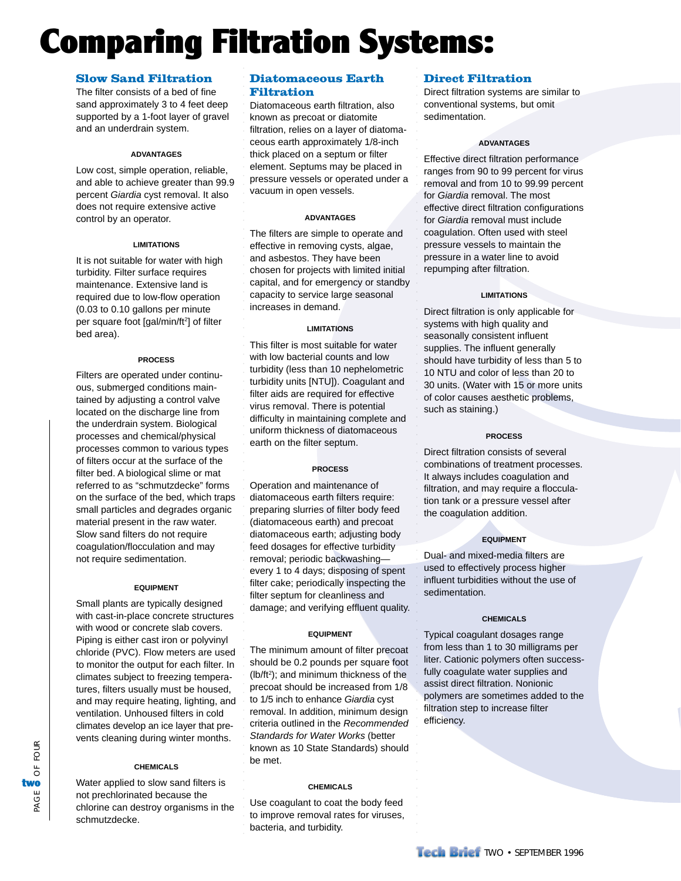#### Slow Sand Filtration

The filter consists of a bed of fine sand approximately 3 to 4 feet deep supported by a 1-foot layer of gravel and an underdrain system.

#### **ADVANTAGES**

Low cost, simple operation, reliable, and able to achieve greater than 99.9 percent Giardia cyst removal. It also does not require extensive active control by an operator.

#### **LIMITATIONS**

It is not suitable for water with high turbidity. Filter surface requires maintenance. Extensive land is required due to low-flow operation (0.03 to 0.10 gallons per minute per square foot [gal/min/ft2 ] of filter bed area).

#### **PROCESS**

Filters are operated under continuous, submerged conditions maintained by adjusting a control valve located on the discharge line from the underdrain system. Biological processes and chemical/physical processes common to various types of filters occur at the surface of the filter bed. A biological slime or mat referred to as "schmutzdecke" forms on the surface of the bed, which traps small particles and degrades organic material present in the raw water. Slow sand filters do not require coagulation/flocculation and may not require sedimentation. **COMPROMENT COMMUNITRES**<br>
Slow Sand Pittration Diatomaseous Earth Direct Filtration Telescope is a subsection of the constrained and operation and the constrained and operation of the constrained and operation of the cons

#### **EQUIPMENT**

**EQUIPMENT**<br> **EQUIPMENT**<br> **EQUIPMENT**<br>
Small plants are typically designed<br>
with cast-in-place concrete structures<br>
with wood or concrete slab covers.<br>
Piping is either cast iron or polyvinyl<br>
Photo are cast iron or polyv Small plants are typically designed with cast-in-place concrete structures with wood or concrete slab covers. Piping is either cast iron or polyvinyl chloride (PVC). Flow meters are used to monitor the output for each filter. In climates subject to freezing temperatures, filters usually must be housed, and may require heating, lighting, and ventilation. Unhoused filters in cold climates develop an ice layer that prevents cleaning during winter months.

#### **CHEMICALS**

Water applied to slow sand filters is not prechlorinated because the chlorine can destroy organisms in the schmutzdecke.

#### Diatomaceous Earth Filtration

Diatomaceous earth filtration, also known as precoat or diatomite filtration, relies on a layer of diatomaceous earth approximately 1/8-inch thick placed on a septum or filter element. Septums may be placed in pressure vessels or operated under a vacuum in open vessels.

#### **ADVANTAGES**

The filters are simple to operate and effective in removing cysts, algae, and asbestos. They have been chosen for projects with limited initial capital, and for emergency or standby capacity to service large seasonal increases in demand.

#### **LIMITATIONS**

This filter is most suitable for water with low bacterial counts and low turbidity (less than 10 nephelometric turbidity units [NTU]). Coagulant and filter aids are required for effective virus removal. There is potential difficulty in maintaining complete and uniform thickness of diatomaceous earth on the filter septum.

#### **PROCESS**

Operation and maintenance of diatomaceous earth filters require: preparing slurries of filter body feed (diatomaceous earth) and precoat diatomaceous earth; adjusting body feed dosages for effective turbidity removal; periodic backwashing every 1 to 4 days; disposing of spent filter cake; periodically inspecting the filter septum for cleanliness and damage; and verifying effluent quality.

#### **EQUIPMENT**

The minimum amount of filter precoat should be 0.2 pounds per square foot (lb/ft2 ); and minimum thickness of the precoat should be increased from 1/8 to 1/5 inch to enhance Giardia cyst removal. In addition, minimum design criteria outlined in the Recommended Standards for Water Works (better known as 10 State Standards) should be met.

aaaaaaaaaaaaaaaaaaaaaaaaaaaaa

#### **CHEMICALS**

Use coagulant to coat the body feed to improve removal rates for viruses, bacteria, and turbidity.

#### Direct Filtration

Direct filtration systems are similar to conventional systems, but omit sedimentation.

#### **ADVANTAGES**

Effective direct filtration performance ranges from 90 to 99 percent for virus removal and from 10 to 99.99 percent for Giardia removal. The most effective direct filtration configurations for Giardia removal must include coagulation. Often used with steel pressure vessels to maintain the pressure in a water line to avoid repumping after filtration.

#### **LIMITATIONS**

Direct filtration is only applicable for systems with high quality and seasonally consistent influent supplies. The influent generally should have turbidity of less than 5 to 10 NTU and color of less than 20 to 30 units. (Water with 15 or more units of color causes aesthetic problems, such as staining.)

#### **PROCESS**

Direct filtration consists of several combinations of treatment processes. It always includes coagulation and filtration, and may require a flocculation tank or a pressure vessel after the coagulation addition.

#### **EQUIPMENT**

aaaaaaaaaa

Dual- and mixed-media filters are used to effectively process higher influent turbidities without the use of sedimentation.

#### **CHEMICALS**

Typical coagulant dosages range from less than 1 to 30 milligrams per liter. Cationic polymers often successfully coagulate water supplies and assist direct filtration. Nonionic polymers are sometimes added to the filtration step to increase filter efficiency.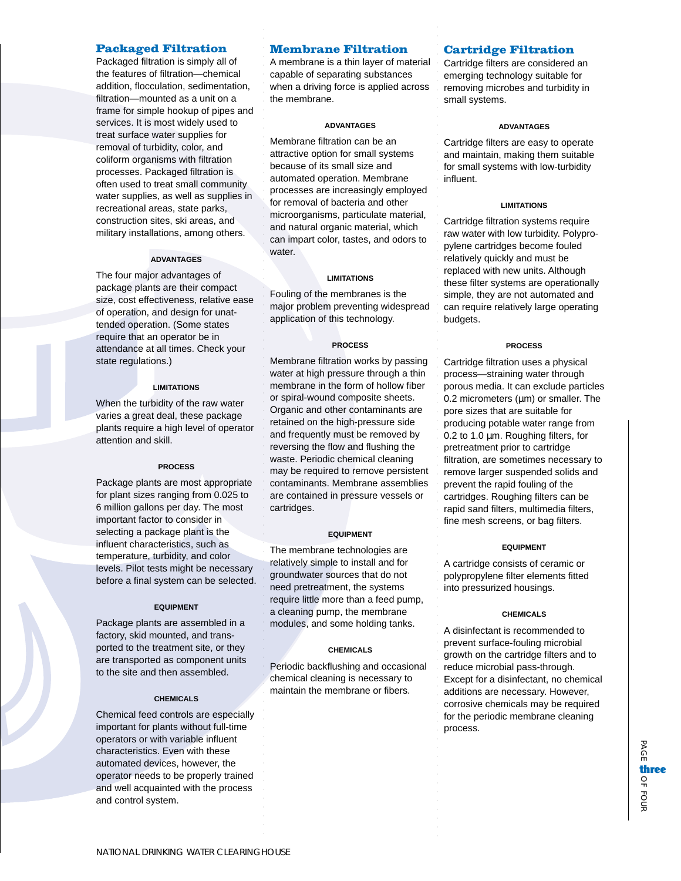#### Packaged Filtration

NATIONAL DRINKING WATER CLEARINGHOUSE a a a a a a a a a a a a a a a a a aaaaaaaa aaaaaaaaaaaaaaaaaaaaaaaaaaaaaaaaaaaaaaaaaaaaaaaaaaaaaaaaaaaaaaaaaaa Packaged filtration is simply all of the features of filtration—chemical addition, flocculation, sedimentation, filtration—mounted as a unit on a frame for simple hookup of pipes and services. It is most widely used to treat surface water supplies for removal of turbidity, color, and coliform organisms with filtration processes. Packaged filtration is often used to treat small community water supplies, as well as supplies in recreational areas, state parks, construction sites, ski areas, and military installations, among others.

#### **ADVANTAGES**

The four major advantages of package plants are their compact size, cost effectiveness, relative ease of operation, and design for unattended operation. (Some states require that an operator be in attendance at all times. Check your state regulations.)

#### **LIMITATIONS**

When the turbidity of the raw water varies a great deal, these package plants require a high level of operator attention and skill.

#### **PROCESS**

Package plants are most appropriate for plant sizes ranging from 0.025 to 6 million gallons per day. The most important factor to consider in selecting a package plant is the influent characteristics, such as temperature, turbidity, and color levels. Pilot tests might be necessary before a final system can be selected.

#### **EQUIPMENT**

Package plants are assembled in a factory, skid mounted, and transported to the treatment site, or they are transported as component units to the site and then assembled.

#### **CHEMICALS**

Chemical feed controls are especially important for plants without full-time operators or with variable influent characteristics. Even with these automated devices, however, the operator needs to be properly trained and well acquainted with the process and control system.

#### Membrane Filtration

A membrane is a thin layer of material capable of separating substances when a driving force is applied across the membrane.

#### **ADVANTAGES**

Membrane filtration can be an attractive option for small systems because of its small size and automated operation. Membrane processes are increasingly employed for removal of bacteria and other microorganisms, particulate material, and natural organic material, which can impart color, tastes, and odors to water.

#### **LIMITATIONS**

Fouling of the membranes is the major problem preventing widespread application of this technology.

#### **PROCESS**

Membrane filtration works by passing water at high pressure through a thin membrane in the form of hollow fiber or spiral-wound composite sheets. Organic and other contaminants are retained on the high-pressure side and frequently must be removed by reversing the flow and flushing the waste. Periodic chemical cleaning may be required to remove persistent contaminants. Membrane assemblies are contained in pressure vessels or cartridges.

#### **EQUIPMENT**

The membrane technologies are relatively simple to install and for groundwater sources that do not need pretreatment, the systems require little more than a feed pump, a cleaning pump, the membrane modules, and some holding tanks.

#### **CHEMICALS**

Periodic backflushing and occasional chemical cleaning is necessary to maintain the membrane or fibers.

#### Cartridge Filtration

Cartridge filters are considered an emerging technology suitable for removing microbes and turbidity in small systems.

#### **ADVANTAGES**

Cartridge filters are easy to operate and maintain, making them suitable for small systems with low-turbidity influent.

#### **LIMITATIONS**

Cartridge filtration systems require raw water with low turbidity. Polypropylene cartridges become fouled relatively quickly and must be replaced with new units. Although these filter systems are operationally simple, they are not automated and can require relatively large operating budgets.

#### **PROCESS**

Cartridge filtration uses a physical process—straining water through porous media. It can exclude particles 0.2 micrometers  $(\mu m)$  or smaller. The pore sizes that are suitable for producing potable water range from 0.2 to 1.0 µm. Roughing filters, for pretreatment prior to cartridge filtration, are sometimes necessary to remove larger suspended solids and prevent the rapid fouling of the cartridges. Roughing filters can be rapid sand filters, multimedia filters, fine mesh screens, or bag filters.

#### **EQUIPMENT**

A cartridge consists of ceramic or polypropylene filter elements fitted into pressurized housings.

aaaaaaaaa

#### **CHEMICALS**

**CHEMICALS**<br>
A disinfectant is recommended to<br>
prevent surface-fouling microbial<br>
growth on the cartridge filters and to<br>
reduce microbial pass-through.<br>
Except for a disinfectant, no chemical<br>
additions are necessary. Ho A disinfectant is recommended to prevent surface-fouling microbial growth on the cartridge filters and to reduce microbial pass-through. Except for a disinfectant, no chemical additions are necessary. However, corrosive chemicals may be required for the periodic membrane cleaning process.